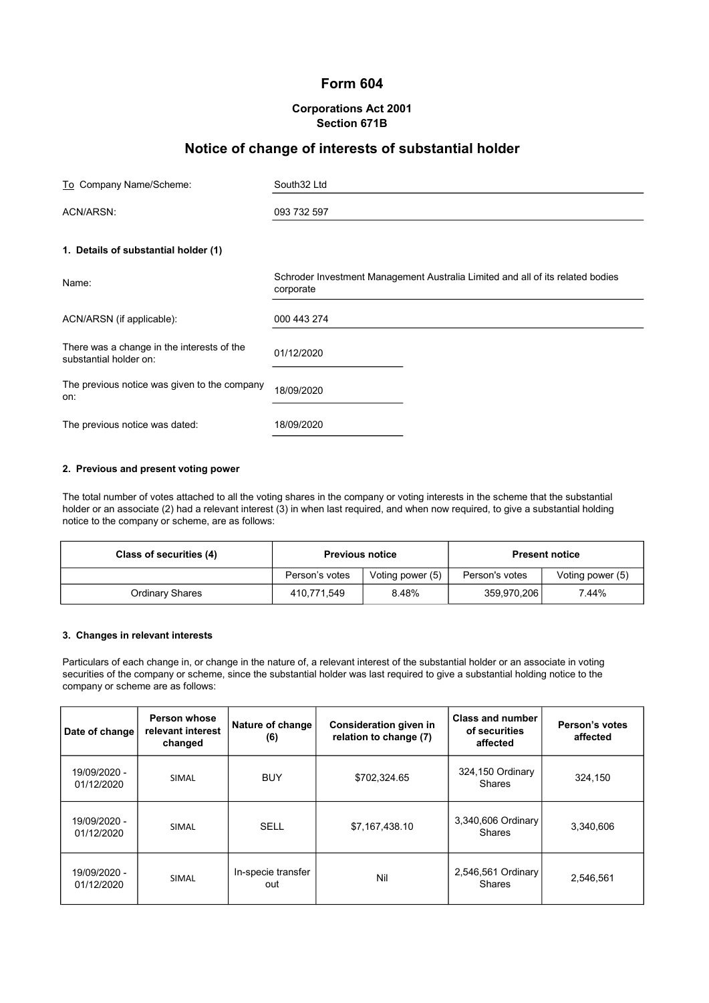# Form 604

# Corporations Act 2001 Section 671B

# Notice of change of interests of substantial holder

| To Company Name/Scheme:                                              | South32 Ltd                                                                                 |
|----------------------------------------------------------------------|---------------------------------------------------------------------------------------------|
| ACN/ARSN:                                                            | 093 732 597                                                                                 |
| 1. Details of substantial holder (1)                                 |                                                                                             |
| Name:                                                                | Schroder Investment Management Australia Limited and all of its related bodies<br>corporate |
| ACN/ARSN (if applicable):                                            | 000 443 274                                                                                 |
| There was a change in the interests of the<br>substantial holder on: | 01/12/2020                                                                                  |
| The previous notice was given to the company<br>on:                  | 18/09/2020                                                                                  |
| The previous notice was dated:                                       | 18/09/2020                                                                                  |

## 2. Previous and present voting power

The total number of votes attached to all the voting shares in the company or voting interests in the scheme that the substantial holder or an associate (2) had a relevant interest (3) in when last required, and when now required, to give a substantial holding notice to the company or scheme, are as follows:

| Class of securities (4) | <b>Previous notice</b> |                  |                |                  |  | <b>Present notice</b> |
|-------------------------|------------------------|------------------|----------------|------------------|--|-----------------------|
|                         | Person's votes         | Voting power (5) | Person's votes | Voting power (5) |  |                       |
| <b>Ordinary Shares</b>  | 410.771.549            | 8.48%            | 359,970,206    | 7.44%            |  |                       |

#### 3. Changes in relevant interests

Particulars of each change in, or change in the nature of, a relevant interest of the substantial holder or an associate in voting securities of the company or scheme, since the substantial holder was last required to give a substantial holding notice to the company or scheme are as follows:

| Date of change             | Person whose<br>relevant interest<br>changed | Nature of change<br>(6)   | <b>Consideration given in</b><br>relation to change (7) | Class and number<br>of securities<br>affected | Person's votes<br>affected |
|----------------------------|----------------------------------------------|---------------------------|---------------------------------------------------------|-----------------------------------------------|----------------------------|
| 19/09/2020 -<br>01/12/2020 | <b>SIMAL</b>                                 | <b>BUY</b>                | \$702,324.65                                            | 324,150 Ordinary<br><b>Shares</b>             | 324,150                    |
| 19/09/2020 -<br>01/12/2020 | <b>SIMAL</b>                                 | <b>SELL</b>               | \$7,167,438.10                                          | 3,340,606 Ordinary<br><b>Shares</b>           | 3,340,606                  |
| 19/09/2020 -<br>01/12/2020 | <b>SIMAL</b>                                 | In-specie transfer<br>out | Nil                                                     | 2,546,561 Ordinary<br>Shares                  | 2,546,561                  |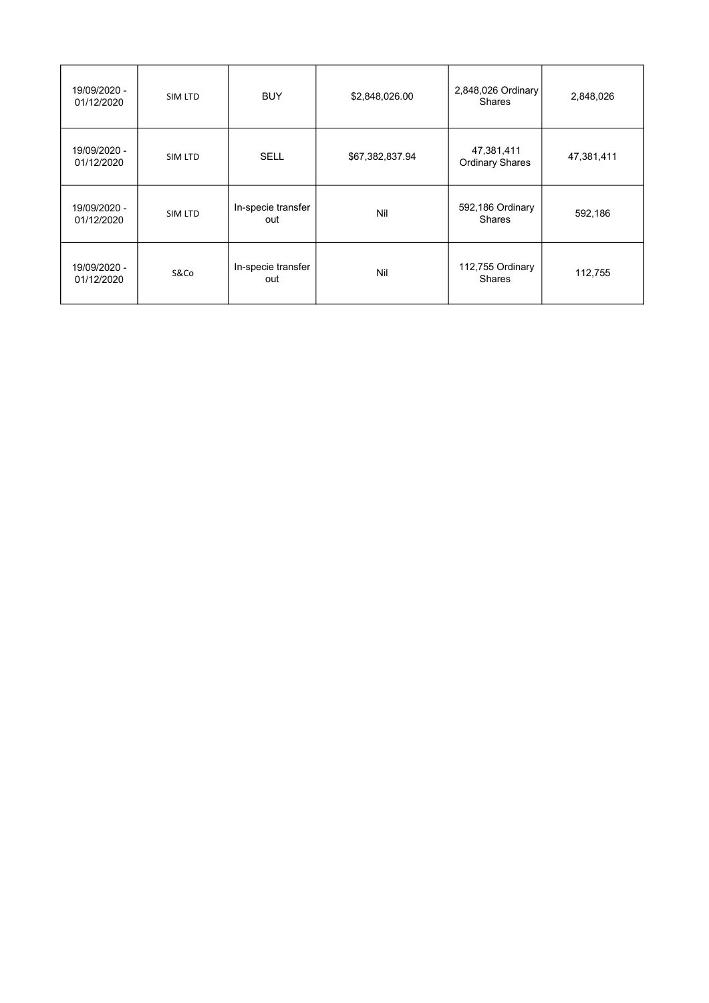| 19/09/2020 -<br>01/12/2020 | SIM LTD | <b>BUY</b>                | \$2,848,026.00  | 2,848,026 Ordinary<br><b>Shares</b>  | 2,848,026  |
|----------------------------|---------|---------------------------|-----------------|--------------------------------------|------------|
| 19/09/2020 -<br>01/12/2020 | SIM LTD | <b>SELL</b>               | \$67,382,837.94 | 47,381,411<br><b>Ordinary Shares</b> | 47,381,411 |
| 19/09/2020 -<br>01/12/2020 | SIM LTD | In-specie transfer<br>out | Nil             | 592,186 Ordinary<br><b>Shares</b>    | 592,186    |
| 19/09/2020 -<br>01/12/2020 | S&Co    | In-specie transfer<br>out | Nil             | 112,755 Ordinary<br><b>Shares</b>    | 112,755    |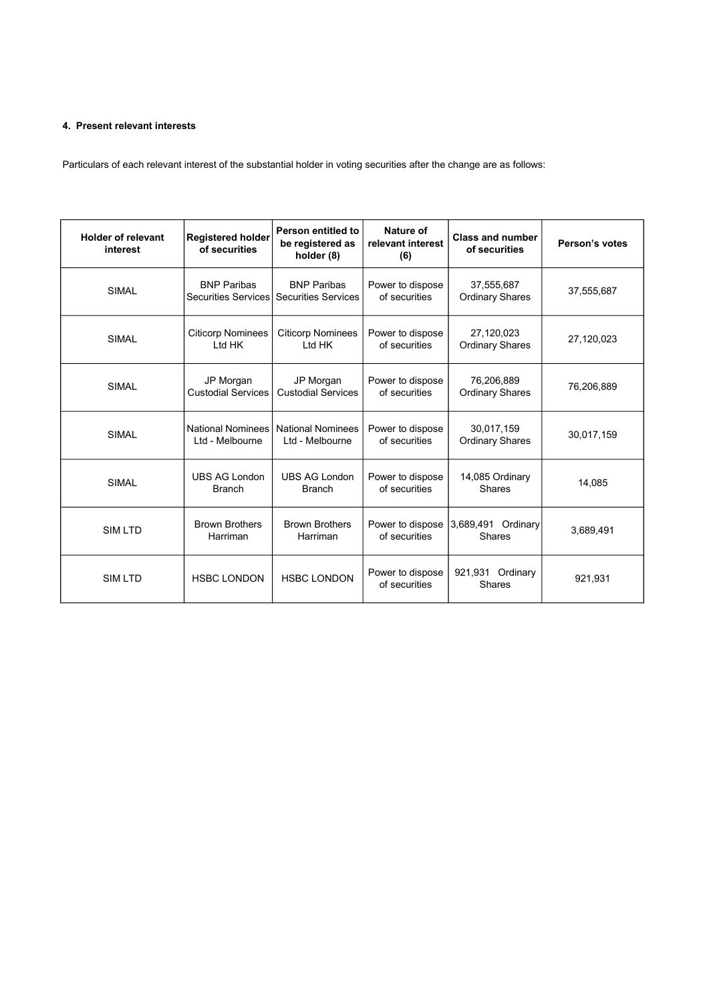# 4. Present relevant interests

Particulars of each relevant interest of the substantial holder in voting securities after the change are as follows:

| <b>Holder of relevant</b><br>interest | <b>Registered holder</b><br>of securities   | Person entitled to<br>be registered as<br>holder (8) | Nature of<br>relevant interest<br>(6) | <b>Class and number</b><br>of securities | Person's votes |
|---------------------------------------|---------------------------------------------|------------------------------------------------------|---------------------------------------|------------------------------------------|----------------|
| <b>SIMAL</b>                          | <b>BNP Paribas</b><br>Securities Services   | <b>BNP Paribas</b><br><b>Securities Services</b>     | Power to dispose<br>of securities     | 37,555,687<br><b>Ordinary Shares</b>     | 37,555,687     |
| <b>SIMAL</b>                          | <b>Citicorp Nominees</b><br>Ltd HK          | <b>Citicorp Nominees</b><br>Ltd HK                   | Power to dispose<br>of securities     | 27,120,023<br><b>Ordinary Shares</b>     | 27,120,023     |
| <b>SIMAL</b>                          | JP Morgan<br><b>Custodial Services</b>      | JP Morgan<br><b>Custodial Services</b>               | Power to dispose<br>of securities     | 76,206,889<br><b>Ordinary Shares</b>     | 76,206,889     |
| <b>SIMAL</b>                          | <b>National Nominees</b><br>Ltd - Melbourne | <b>National Nominees</b><br>Ltd - Melbourne          | Power to dispose<br>of securities     | 30,017,159<br><b>Ordinary Shares</b>     | 30,017,159     |
| <b>SIMAL</b>                          | <b>UBS AG London</b><br><b>Branch</b>       | <b>UBS AG London</b><br><b>Branch</b>                | Power to dispose<br>of securities     | 14,085 Ordinary<br>Shares                | 14.085         |
| SIM LTD                               | <b>Brown Brothers</b><br>Harriman           | <b>Brown Brothers</b><br>Harriman                    | Power to dispose<br>of securities     | 3,689,491 Ordinary<br>Shares             | 3,689,491      |
| SIM LTD                               | <b>HSBC LONDON</b>                          | <b>HSBC LONDON</b>                                   | Power to dispose<br>of securities     | 921,931 Ordinary<br><b>Shares</b>        | 921,931        |